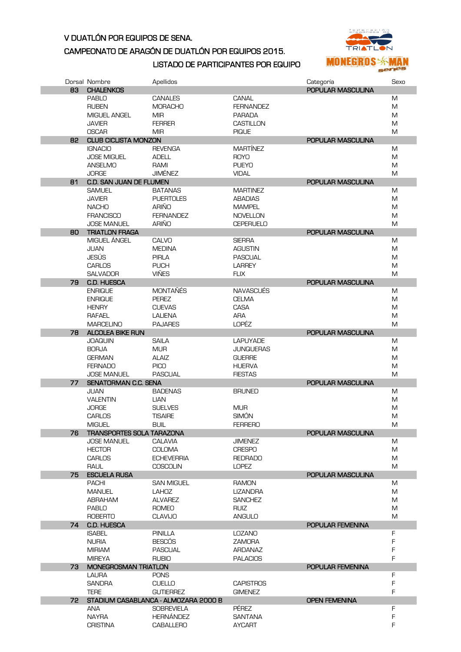## V DUATLÓN POR EQUIPOS DE SENA.

## CAMPEONATO DE ARAGÓN DE DUATLÓN POR EQUIPOS 2015.



## LISTADO DE PARTICIPANTES POR EQUIPO

|    | Dorsal Nombre                                     | Apellidos                            |                            | Categoría            | Sexo |
|----|---------------------------------------------------|--------------------------------------|----------------------------|----------------------|------|
| 83 | <b>CHALENKOS</b>                                  |                                      |                            | POPULAR MASCULINA    |      |
|    | <b>PABLO</b>                                      | <b>CANALES</b>                       | CANAL                      |                      | M    |
|    | <b>RUBEN</b>                                      | <b>MORACHO</b>                       | <b>FERNANDEZ</b>           |                      | M    |
|    | MIGUEL ANGEL                                      | <b>MIR</b>                           | <b>PARADA</b>              |                      | M    |
|    | <b>JAVIER</b>                                     | <b>FERRER</b>                        | <b>CASTILLON</b>           |                      | M    |
|    | <b>OSCAR</b>                                      | <b>MIR</b>                           | <b>PIQUE</b>               |                      | M    |
| 82 | <b>CLUB CICLISTA MONZON</b>                       |                                      |                            | POPULAR MASCULINA    |      |
|    | <b>IGNACIO</b>                                    | <b>REVENGA</b>                       | <b>MARTÍNEZ</b>            |                      | M    |
|    | <b>JOSE MIGUEL</b>                                | <b>ADELL</b>                         | <b>ROYO</b>                |                      | M    |
|    | <b>ANSELMO</b>                                    | RAMI                                 | <b>PUEYO</b>               |                      | M    |
|    | <b>JORGE</b>                                      | <b>JIMÉNEZ</b>                       | <b>VIDAL</b>               |                      | M    |
| 81 | C.D. SAN JUAN DE FLUMEN                           |                                      |                            | POPULAR MASCULINA    |      |
|    | <b>SAMUEL</b>                                     | <b>BATANAS</b>                       | <b>MARTINEZ</b>            |                      | M    |
|    | <b>JAVIER</b>                                     | <b>PUERTOLES</b>                     | <b>ABADIAS</b>             |                      | M    |
|    | <b>NACHO</b>                                      | ARIÑO                                | <b>MAMPEL</b>              |                      | M    |
|    | <b>FRANCISCO</b>                                  | <b>FERNANDEZ</b>                     | <b>NOVELLON</b>            |                      | M    |
|    | <b>JOSE MANUEL</b>                                | ARIÑO                                | <b>CEPERUELO</b>           |                      | M    |
| 80 | <b>TRIATLON FRAGA</b>                             |                                      |                            | POPULAR MASCULINA    |      |
|    | MIGUEL ANGEL                                      | CALVO                                | <b>SIERRA</b>              |                      | M    |
|    | JUAN                                              | <b>MEDINA</b>                        | <b>AGUSTIN</b>             |                      | M    |
|    | JESÚS                                             | <b>PIRLA</b>                         | <b>PASCUAL</b>             |                      | M    |
|    | <b>CARLOS</b>                                     | <b>PUCH</b>                          | <b>LARREY</b>              |                      | M    |
|    | <b>SALVADOR</b>                                   | <b>VIÑES</b>                         | <b>FLIX</b>                |                      | M    |
| 79 | <b>C.D. HUESCA</b>                                |                                      |                            | POPULAR MASCULINA    |      |
|    | <b>ENRIQUE</b>                                    | <b>MONTAÑÉS</b>                      | <b>NAVASCUÉS</b>           |                      | M    |
|    | <b>ENRIQUE</b>                                    | <b>PEREZ</b>                         | <b>CELMA</b>               |                      | M    |
|    | <b>HENRY</b>                                      | <b>CUEVAS</b>                        | CASA                       |                      | M    |
|    | RAFAEL                                            | LALIENA                              | ARA                        |                      | M    |
|    | <b>MARCELINO</b>                                  | <b>PAJARES</b>                       | LOPÉZ                      |                      | M    |
| 78 | <b>ALCOLEA BIKE RUN</b>                           |                                      |                            | POPULAR MASCULINA    |      |
|    | <b>JOAQUIN</b>                                    | <b>SAILA</b>                         | <b>LAPUYADE</b>            |                      | M    |
|    | <b>BORJA</b>                                      | <b>MUR</b>                           | <b>JUNQUERAS</b>           |                      | M    |
|    | <b>GERMAN</b>                                     | <b>ALAIZ</b>                         | <b>GUERRE</b>              |                      | M    |
|    | <b>FERNADO</b>                                    | <b>PICO</b>                          | <b>HUERVA</b>              |                      | M    |
|    | <b>JOSE MANUEL</b>                                | <b>PASCUAL</b>                       | <b>FIESTAS</b>             |                      | M    |
| 77 | SENATORMAN C.C. SENA                              |                                      |                            | POPULAR MASCULINA    |      |
|    | <b>JUAN</b>                                       | <b>BADENAS</b>                       | <b>BRUNED</b>              |                      | M    |
|    | <b>VALENTIN</b>                                   | <b>LIAN</b>                          |                            |                      | M    |
|    | <b>JORGE</b>                                      | <b>SUELVES</b>                       | <b>MUR</b><br><b>SIMÓN</b> |                      | M    |
|    | <b>CARLOS</b>                                     | <b>TISAIRE</b>                       |                            |                      | M    |
| 76 | <b>MIGUEL</b><br><b>TRANSPORTES SOLA TARAZONA</b> | BUIL                                 | <b>FERRERO</b>             | POPULAR MASCULINA    | M    |
|    | <b>JOSE MANUEL</b>                                | <b>CALAVIA</b>                       | <b>JIMENEZ</b>             |                      | M    |
|    | <b>HECTOR</b>                                     | COLOMA                               | <b>CRESPO</b>              |                      | M    |
|    | <b>CARLOS</b>                                     | <b>ECHEVERRIA</b>                    | <b>REDRADO</b>             |                      | M    |
|    | RAUL                                              | <b>COSCOLIN</b>                      | <b>LOPEZ</b>               |                      | M    |
| 75 | <b>ESCUELA RUSA</b>                               |                                      |                            | POPULAR MASCULINA    |      |
|    | <b>PACHI</b>                                      | <b>SAN MIGUEL</b>                    | <b>RAMON</b>               |                      | M    |
|    | <b>MANUEL</b>                                     | <b>LAHOZ</b>                         | <b>LIZANDRA</b>            |                      | M    |
|    | ABRAHAM                                           | <b>ALVAREZ</b>                       | <b>SANCHEZ</b>             |                      | M    |
|    | <b>PABLO</b>                                      | <b>ROMEO</b>                         | RUIZ                       |                      | M    |
|    | <b>ROBERTO</b>                                    | <b>CLAVIJO</b>                       | <b>ANGULO</b>              |                      | M    |
| 74 | <b>C.D. HUESCA</b>                                |                                      |                            | POPULAR FEMENINA     |      |
|    | <b>ISABEL</b>                                     | <b>PINILLA</b>                       | <b>LOZANO</b>              |                      | F    |
|    | <b>NURIA</b>                                      | <b>BESCOS</b>                        | ZAMORA                     |                      | F    |
|    | <b>MIRIAM</b>                                     | <b>PASCUAL</b>                       | ARDANAZ                    |                      | F    |
|    | <b>MIREYA</b>                                     | <b>RUBIO</b>                         | <b>PALACIOS</b>            |                      | F    |
| 73 | <b>MONEGROSMAN TRIATLON</b>                       |                                      |                            | POPULAR FEMENINA     |      |
|    | <b>LAURA</b>                                      | <b>PONS</b>                          |                            |                      | F    |
|    | <b>SANDRA</b>                                     | <b>CUELLO</b>                        | <b>CAPISTROS</b>           |                      | F    |
|    | <b>TERE</b>                                       | <b>GUTIERREZ</b>                     | <b>GIMENEZ</b>             |                      | F    |
| 72 |                                                   | STADIUM CASABLANCA - ALMOZARA 2000 B |                            | <b>OPEN FEMENINA</b> |      |
|    | ANA                                               | <b>SOBREVIELA</b>                    | <b>PEREZ</b>               |                      | F    |
|    | <b>NAYRA</b>                                      | HERNÁNDEZ                            | <b>SANTANA</b>             |                      | F    |
|    | <b>CRISTINA</b>                                   | <b>CABALLERO</b>                     | AYCART                     |                      | F    |
|    |                                                   |                                      |                            |                      |      |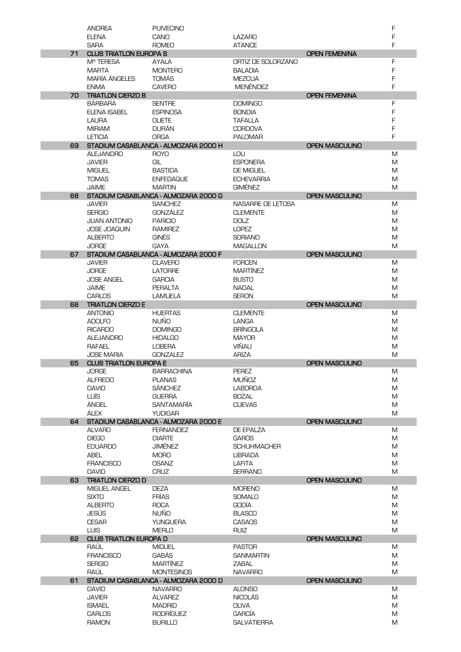|    | <b>ANDREA</b>                 | <b>PUIVECINO</b>                     |                                     |                       | F      |
|----|-------------------------------|--------------------------------------|-------------------------------------|-----------------------|--------|
|    | <b>ELENA</b>                  | CANO                                 | <b>LAZARO</b>                       |                       | F      |
|    | <b>SARA</b>                   | <b>ROMEO</b>                         | <b>ATANCE</b>                       |                       | F      |
|    |                               |                                      |                                     |                       |        |
| 71 | <b>CLUB TRIATLON EUROPA B</b> |                                      |                                     | <b>OPEN FEMENINA</b>  |        |
|    | M <sup>º</sup> TERESA         | <b>AYALA</b>                         | ORTIZ DE SOLORZANO                  |                       | F      |
|    | <b>MARTA</b>                  | <b>MONTERO</b>                       | <b>BALADIA</b>                      |                       | F      |
|    | <b>MARÍA ÁNGELES</b>          | <b>TOMÁS</b>                         | <b>MEZCUA</b>                       |                       | F      |
|    | <b>ENMA</b>                   | <b>CAVERO</b>                        | <b>MENÉNDEZ</b>                     |                       | F      |
| 70 | <b>TRIATLON CIERZO B</b>      |                                      |                                     | <b>OPEN FEMENINA</b>  |        |
|    |                               |                                      |                                     |                       |        |
|    | <b>BÁRBARA</b>                | <b>SENTRE</b>                        | <b>DOMINGO</b>                      |                       | F      |
|    | <b>ELENA ISABEL</b>           | <b>ESPINOSA</b>                      | <b>BONDIA</b>                       |                       | F      |
|    | LAURA                         | <b>OLIETE</b>                        | TAFALLA                             |                       | F      |
|    | <b>MIRIAM</b>                 | <b>DURÁN</b>                         | <b>CORDOVA</b>                      |                       | F      |
|    | <b>LETICIA</b>                | <b>ORGA</b>                          | <b>PALOMAR</b>                      |                       | F      |
| 69 |                               | STADIUM CASABLANCA - ALMOZARA 2000 H |                                     | <b>OPEN MASCULINO</b> |        |
|    | <b>ALEJANDRO</b>              | <b>ROYO</b>                          | LOU                                 |                       | M      |
|    |                               |                                      |                                     |                       |        |
|    | <b>JAVIER</b>                 | GIL                                  | <b>ESPONERA</b>                     |                       | M      |
|    | <b>MIGUEL</b>                 | <b>BASTIDA</b>                       | <b>DE MIGUEL</b>                    |                       | M      |
|    | <b>TOMAS</b>                  | <b>ENFEDAQUE</b>                     | <b>ECHEVARRIA</b>                   |                       | M      |
|    | <b>JAIME</b>                  | <b>MARTIN</b>                        | <b>GIMÉNEZ</b>                      |                       | M      |
| 68 |                               | STADIUM CASABLANCA - ALMOZARA 2000 G |                                     | <b>OPEN MASCULINO</b> |        |
|    | <b>JAVIER</b>                 | <b>SANCHEZ</b>                       | NASARRE DE LETOSA                   |                       | M      |
|    |                               |                                      |                                     |                       |        |
|    | <b>SERGIO</b>                 | GONZÁLEZ                             | <b>CLEMENTE</b>                     |                       | M      |
|    | <b>JUAN ANTONIO</b>           | <b>PARICIO</b>                       | <b>DOLZ</b>                         |                       | M      |
|    | <b>JOSE JOAQUIN</b>           | <b>RAMIREZ</b>                       | <b>LOPEZ</b>                        |                       | M      |
|    | <b>ALBERTO</b>                | <b>GINÉS</b>                         | <b>SORIANO</b>                      |                       | M      |
|    | <b>JORGE</b>                  | <b>GAYA</b>                          | <b>MAGALLON</b>                     |                       | M      |
| 67 |                               | STADIUM CASABLANCA - ALMOZARA 2000 F |                                     | <b>OPEN MASCULINO</b> |        |
|    |                               |                                      |                                     |                       |        |
|    | <b>JAVIER</b>                 | <b>CLAVERO</b>                       | <b>FORCEN</b>                       |                       | M      |
|    | <b>JORGE</b>                  | <b>LATORRE</b>                       | <b>MARTÍNEZ</b>                     |                       | M      |
|    | <b>JOSE ANGEL</b>             | <b>GARCIA</b>                        | <b>BUSTO</b>                        |                       | M      |
|    | <b>JAIME</b>                  | <b>PERALTA</b>                       | <b>NADAL</b>                        |                       | M      |
|    | <b>CARLOS</b>                 | <b>LAMUELA</b>                       | <b>SERON</b>                        |                       | M      |
| 66 | <b>TRIATLON CIERZO E</b>      |                                      |                                     | <b>OPEN MASCULINO</b> |        |
|    | <b>ANTONIO</b>                | <b>HUERTAS</b>                       | <b>CLEMENTE</b>                     |                       | M      |
|    |                               |                                      |                                     |                       |        |
|    | <b>ADOLFO</b>                 | <b>NUÑO</b>                          | LANGA                               |                       | M      |
|    | <b>RICARDO</b>                | <b>DOMINGO</b>                       | <b>BRINGOLA</b>                     |                       | M      |
|    | <b>ALEJANDRO</b>              | <b>HIDALGO</b>                       | <b>MAYOR</b>                        |                       | M      |
|    | <b>RAFAEL</b>                 | <b>LOBERA</b>                        | VIÑAU                               |                       | M      |
|    | <b>JOSE MARIA</b>             | <b>GONZALEZ</b>                      | <b>ARIZA</b>                        |                       | M      |
| 65 | <b>CLUB TRIATLON EUROPA E</b> |                                      |                                     | <b>OPEN MASCULINO</b> |        |
|    |                               |                                      |                                     |                       |        |
|    |                               |                                      |                                     |                       |        |
|    | <b>JORGE</b>                  | <b>BARRACHINA</b>                    | PEREZ                               |                       | M      |
|    | <b>ALFREDO</b>                | <b>PLANAS</b>                        | <b>MUÑOZ</b>                        |                       | M      |
|    | <b>DAVID</b>                  | SÁNCHEZ                              | <b>LABORDA</b>                      |                       | M      |
|    | LUÍS                          | <b>GUERRA</b>                        | <b>BOZAL</b>                        |                       | M      |
|    |                               |                                      |                                     |                       |        |
|    | ÁNGEL                         | <b>SANTAMARÍA</b>                    | <b>CUEVAS</b>                       |                       | M      |
|    | ÁLEX                          | <b>YUDIGAR</b>                       |                                     |                       | M      |
| 64 |                               | STADIUM CASABLANCA - ALMOZARA 2000 E |                                     | <b>OPEN MASCULINO</b> |        |
|    | <b>ALVARO</b>                 | <b>FERNANDEZ</b>                     | DE EPALZA                           |                       | M      |
|    | <b>DIEGO</b>                  | <b>DIARTE</b>                        | <b>GARÓS</b>                        |                       | M      |
|    | <b>EDUARDO</b>                | JIMÉNEZ                              | <b>SCHUHMACHER</b>                  |                       | M      |
|    | ABEL                          | <b>MORO</b>                          | <b>LIBRADA</b>                      |                       | M      |
|    | <b>FRANCISCO</b>              | <b>OSANZ</b>                         | LAFITA                              |                       | M      |
|    |                               |                                      |                                     |                       |        |
|    | <b>DAVID</b>                  | <b>CRUZ</b>                          | <b>SERRANO</b>                      |                       | M      |
| 63 | <b>TRIATLON CIERZO D</b>      |                                      |                                     | <b>OPEN MASCULINO</b> |        |
|    | <b>MIGUEL ANGEL</b>           | <b>DEZA</b>                          | <b>MORENO</b>                       |                       | M      |
|    | <b>SIXTO</b>                  | <b>FRÍAS</b>                         | <b>SOMALO</b>                       |                       | M      |
|    | <b>ALBERTO</b>                | <b>ROCA</b>                          | <b>GODÍA</b>                        |                       | M      |
|    | JESÚS                         | <b>NUÑO</b>                          | <b>BLASCO</b>                       |                       | M      |
|    | <b>CESAR</b>                  | <b>YUNQUERA</b>                      | <b>CASAOS</b>                       |                       | M      |
|    | <b>LUIS</b>                   | <b>MERLO</b>                         | <b>RUIZ</b>                         |                       | M      |
|    |                               |                                      |                                     |                       |        |
| 62 | <b>CLUB TRIATLON EUROPA D</b> |                                      |                                     | <b>OPEN MASCULINO</b> |        |
|    | RAÚL                          | <b>MIGUEL</b>                        | <b>PASTOR</b>                       |                       | M      |
|    | <b>FRANCISCO</b>              | <b>GABÁS</b>                         | <b>SANMARTIN</b>                    |                       | M      |
|    | <b>SERGIO</b>                 | <b>MARTÍNEZ</b>                      | ZABAL                               |                       | M      |
|    | <b>RAÚL</b>                   | <b>MONTESINOS</b>                    | <b>NAVARRO</b>                      |                       | M      |
| 61 |                               | STADIUM CASABLANCA - ALMOZARA 2000 D |                                     | <b>OPEN MASCULINO</b> |        |
|    |                               |                                      |                                     |                       |        |
|    | <b>DAVID</b>                  | <b>NAVARRO</b>                       | <b>ALONSO</b>                       |                       | M      |
|    | <b>JAVIER</b>                 | ÁLVAREZ                              | <b>NICOLÁS</b>                      |                       | M      |
|    | <b>ISMAEL</b>                 | <b>MADRID</b>                        | <b>OLIVA</b>                        |                       | M      |
|    | <b>CARLOS</b><br><b>RAMON</b> | RODRÍGUEZ<br><b>BURILLO</b>          | <b>GARCÍA</b><br><b>SALVATIERRA</b> |                       | M<br>M |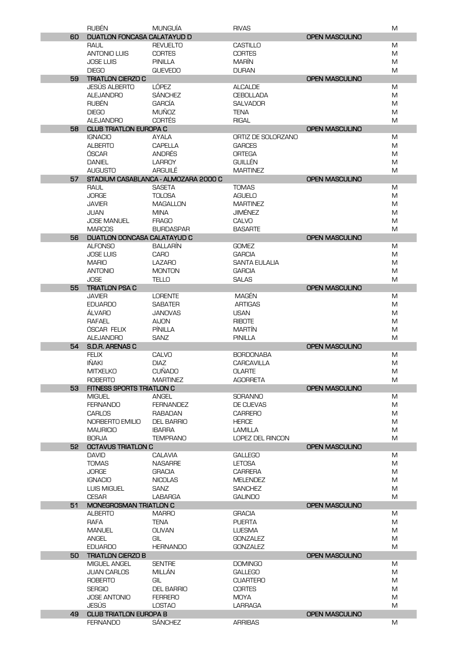|    | <b>RUBÉN</b>                                    | <b>MUNGUÍA</b>                       | <b>RIVAS</b>                  |                       | M      |
|----|-------------------------------------------------|--------------------------------------|-------------------------------|-----------------------|--------|
| 60 | DUATLON FONCASA CALATAYUD D                     |                                      |                               | <b>OPEN MASCULINO</b> |        |
|    | <b>RAUL</b>                                     | <b>REVUELTO</b>                      | <b>CASTILLO</b>               |                       | M      |
|    | <b>ANTONIO LUIS</b>                             | <b>CORTES</b>                        | <b>CORTES</b>                 |                       | M      |
|    | <b>JOSE LUIS</b>                                | <b>PINILLA</b>                       | <b>MARÍN</b>                  |                       | M      |
|    | <b>DIEGO</b>                                    | <b>QUEVEDO</b>                       | <b>DURAN</b>                  |                       | M      |
| 59 | <b>TRIATLON CIERZO C</b>                        |                                      |                               | <b>OPEN MASCULINO</b> |        |
|    | <b>JESÚS ALBERTO</b>                            | LÓPEZ                                | <b>ALCALDE</b>                |                       | M      |
|    | <b>ALEJANDRO</b>                                | <b>SÁNCHEZ</b>                       | <b>CEBOLLADA</b>              |                       | M      |
|    | <b>RUBÉN</b>                                    | <b>GARCIA</b>                        | <b>SALVADOR</b>               |                       | M      |
|    | <b>DIEGO</b>                                    | <b>MUÑOZ</b>                         | <b>TENA</b>                   |                       | M      |
|    | <b>ALEJANDRO</b>                                | <b>CORTÉS</b>                        | <b>RIGAL</b>                  |                       | M      |
| 58 | <b>CLUB TRIATLON EUROPA C</b><br><b>IGNACIO</b> | <b>AYALA</b>                         | ORTIZ DE SOLORZANO            | <b>OPEN MASCULINO</b> | M      |
|    | <b>ALBERTO</b>                                  | <b>CAPELLA</b>                       | <b>GARCES</b>                 |                       | M      |
|    | <b>OSCAR</b>                                    | <b>ANDRÉS</b>                        | <b>ORTEGA</b>                 |                       | M      |
|    | <b>DANIEL</b>                                   | <b>LARROY</b>                        | <b>GUILLÉN</b>                |                       | M      |
|    | <b>AUGUSTO</b>                                  | ARGUILÉ                              | <b>MARTINEZ</b>               |                       | M      |
| 57 |                                                 | STADIUM CASABLANCA - ALMOZARA 2000 C |                               | <b>OPEN MASCULINO</b> |        |
|    | <b>RAUL</b>                                     | <b>SASETA</b>                        | <b>TOMAS</b>                  |                       | M      |
|    | <b>JORGE</b>                                    | <b>TOLOSA</b>                        | <b>AGUELO</b>                 |                       | M      |
|    | <b>JAVIER</b>                                   | <b>MAGALLON</b>                      | <b>MARTINEZ</b>               |                       | M      |
|    | <b>JUAN</b>                                     | <b>MINA</b>                          | <b>JIMÉNEZ</b>                |                       | M      |
|    | <b>JOSE MANUEL</b>                              | <b>FRAGO</b>                         | <b>CALVO</b>                  |                       | M      |
|    | <b>MARCOS</b>                                   | <b>BURDASPAR</b>                     | <b>BASARTE</b>                |                       | M      |
| 56 | <b>DUATLON DONCASA CALATAYUD C</b>              |                                      |                               | <b>OPEN MASCULINO</b> |        |
|    | <b>ALFONSO</b>                                  | <b>BALLARÍN</b>                      | <b>GOMEZ</b>                  |                       | M      |
|    | <b>JOSE LUIS</b>                                | <b>CARO</b>                          | <b>GARCIA</b>                 |                       | M      |
|    | <b>MARIO</b>                                    | <b>LAZARO</b>                        | <b>SANTA EULALIA</b>          |                       | M      |
|    | <b>ANTONIO</b>                                  | <b>MONTON</b>                        | <b>GARCIA</b>                 |                       | M      |
|    | <b>JOSE</b>                                     | TELLO                                | <b>SALAS</b>                  |                       | M      |
| 55 | <b>TRIATLON PSA C</b>                           |                                      |                               | <b>OPEN MASCULINO</b> |        |
|    | <b>JAVIER</b>                                   | <b>LORENTE</b>                       | <b>MAGÉN</b>                  |                       | M      |
|    | <b>EDUARDO</b><br><b>ALVARO</b>                 | <b>SABATER</b><br><b>JANOVAS</b>     | <b>ARTIGAS</b><br><b>USAN</b> |                       | M      |
|    | <b>RAFAEL</b>                                   | <b>AIJON</b>                         | <b>RIBOTE</b>                 |                       | M<br>M |
|    | ÓSCAR FELIX                                     | PÍNILLA                              | <b>MARTÍN</b>                 |                       | M      |
|    | <b>ALEJANDRO</b>                                | <b>SANZ</b>                          | <b>PINILLA</b>                |                       | M      |
| 54 | <b>S.D.R. ARENAS C</b>                          |                                      |                               | <b>OPEN MASCULINO</b> |        |
|    | <b>FELIX</b>                                    | CALVO                                | <b>BORDONABA</b>              |                       | M      |
|    | IÑAKI                                           | <b>DIAZ</b>                          | <b>CARCAVILLA</b>             |                       | M      |
|    | <b>MITXELKO</b>                                 | <b>CUÑADO</b>                        | <b>OLARTE</b>                 |                       | M      |
|    | <b>ROBERTO</b>                                  | <b>MARTINEZ</b>                      | <b>AGORRETA</b>               |                       | M      |
| 53 | FITNESS SPORTS TRIATLON C                       |                                      |                               | <b>OPEN MASCULINO</b> |        |
|    | <b>MIGUEL</b>                                   | ANGEL                                | <b>SORANNO</b>                |                       | M      |
|    | <b>FERNANDO</b>                                 | <b>FERNANDEZ</b>                     | DE CUEVAS                     |                       | M      |
|    | <b>CARLOS</b>                                   | RABADAN                              | <b>CARRERO</b>                |                       | M      |
|    | NORBERTO EMILIO                                 | <b>DEL BARRIO</b>                    | <b>HERCE</b>                  |                       | M      |
|    | <b>MAURICIO</b>                                 | <b>IBARRA</b>                        | <b>LAMILLA</b>                |                       | M      |
|    | <b>BORJA</b>                                    | <b>TEMPRANO</b>                      | <b>LOPEZ DEL RINCON</b>       |                       | M      |
| 52 | OCTAVUS TRIATLON C<br><b>DAVID</b>              | <b>CALAVIA</b>                       | <b>GALLEGO</b>                | <b>OPEN MASCULINO</b> | M      |
|    | <b>TOMAS</b>                                    | <b>NASARRE</b>                       | <b>LETOSA</b>                 |                       | M      |
|    | <b>JORGE</b>                                    | <b>GRACIA</b>                        | <b>CARRERA</b>                |                       | M      |
|    | <b>IGNACIO</b>                                  | <b>NICOLAS</b>                       | <b>MELENDEZ</b>               |                       | M      |
|    | <b>LUIS MIGUEL</b>                              | <b>SANZ</b>                          | <b>SANCHEZ</b>                |                       | M      |
|    | <b>CESAR</b>                                    | <b>LABARGA</b>                       | <b>GALINDO</b>                |                       | M      |
| 51 | <b>MONEGROSMAN TRIATLON C</b>                   |                                      |                               | <b>OPEN MASCULINO</b> |        |
|    | <b>ALBERTO</b>                                  | <b>MARRO</b>                         | <b>GRACIA</b>                 |                       | M      |
|    | <b>RAFA</b>                                     | TENA                                 | <b>PUERTA</b>                 |                       | M      |
|    | <b>MANUEL</b>                                   | <b>OLIVAN</b>                        | <b>LUESMA</b>                 |                       | M      |
|    | <b>ANGEL</b>                                    | GIL                                  | <b>GONZALEZ</b>               |                       | M      |
|    | <b>EDUARDO</b>                                  | <b>HERNANDO</b>                      | <b>GONZALEZ</b>               |                       | M      |
| 50 | <b>TRIATLON CIERZO B</b>                        |                                      |                               | <b>OPEN MASCULINO</b> |        |
|    | MIGUEL ANGEL                                    | <b>SENTRE</b>                        | <b>DOMINGO</b>                |                       | M      |
|    | <b>JUAN CARLOS</b>                              | MILLÁN                               | <b>GALLEGO</b>                |                       | M      |
|    | <b>ROBERTO</b>                                  | GIL                                  | <b>CUARTERO</b>               |                       | M      |
|    | <b>SERGIO</b><br><b>JOSE ANTONIO</b>            | <b>DEL BARRIO</b><br><b>FERRERO</b>  | <b>CORTES</b><br>MOYA         |                       | M<br>M |
|    | JESÚS                                           | <b>LOSTAO</b>                        | <b>LARRAGA</b>                |                       | M      |
| 49 | <b>CLUB TRIATLON EUROPA B</b>                   |                                      |                               | <b>OPEN MASCULINO</b> |        |
|    | <b>FERNANDO</b>                                 | <b>SÁNCHEZ</b>                       | <b>ARRIBAS</b>                |                       | M      |
|    |                                                 |                                      |                               |                       |        |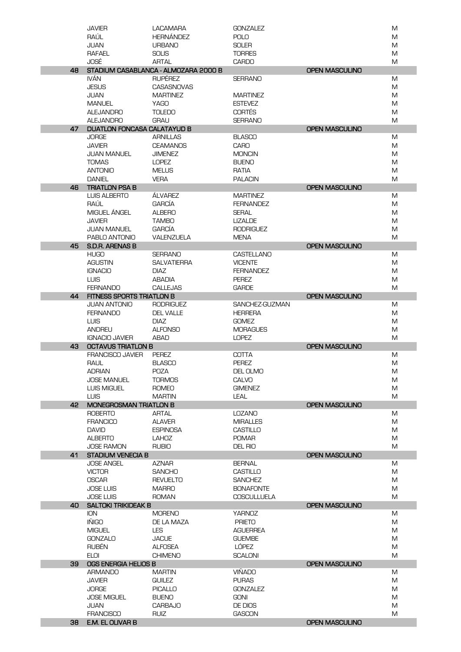|    | <b>JAVIER</b>                                      | <b>LACAMARA</b>                                        | <b>GONZALEZ</b>                   |                       | M      |
|----|----------------------------------------------------|--------------------------------------------------------|-----------------------------------|-----------------------|--------|
|    | RAÚL                                               | <b>HERNÁNDEZ</b>                                       | <b>POLO</b>                       |                       | M      |
|    | <b>JUAN</b>                                        | <b>URBANO</b>                                          | <b>SOLER</b>                      |                       | M      |
|    | <b>RAFAEL</b>                                      | <b>SOLIS</b>                                           | <b>TORRES</b>                     |                       | M      |
|    | JOSÉ                                               | <b>ARTAL</b>                                           | <b>CARDO</b>                      |                       | M      |
| 48 | <b>IVÁN</b>                                        | STADIUM CASABLANCA - ALMOZARA 2000 B<br><b>RUPÉREZ</b> |                                   | <b>OPEN MASCULINO</b> |        |
|    |                                                    |                                                        | <b>SERRANO</b>                    |                       | M      |
|    | <b>JESUS</b><br>JUAN                               | <b>CASASNOVAS</b><br><b>MARTINEZ</b>                   |                                   |                       | M<br>M |
|    | <b>MANUEL</b>                                      | <b>YAGO</b>                                            | <b>MARTINEZ</b><br><b>ESTEVEZ</b> |                       | M      |
|    | <b>ALEJANDRO</b>                                   | <b>TOLEDO</b>                                          | <b>CORTÉS</b>                     |                       | M      |
|    | <b>ALEJANDRO</b>                                   | <b>GRAU</b>                                            | <b>SERRANO</b>                    |                       | M      |
| 47 | <b>DUATLON FONCASA CALATAYUD B</b>                 |                                                        |                                   | <b>OPEN MASCULINO</b> |        |
|    | <b>JORGE</b>                                       | ARNILLAS                                               | <b>BLASCO</b>                     |                       | M      |
|    | <b>JAVIER</b>                                      | <b>CEAMANOS</b>                                        | <b>CARO</b>                       |                       | M      |
|    | <b>JUAN MANUEL</b>                                 | <b>JIMENEZ</b>                                         | <b>MONCIN</b>                     |                       | M      |
|    | <b>TOMAS</b>                                       | <b>LOPEZ</b>                                           | <b>BUENO</b>                      |                       | M      |
|    | <b>ANTONIO</b>                                     | <b>MELUS</b>                                           | RATIA                             |                       | M      |
|    | <b>DANIEL</b>                                      | <b>VERA</b>                                            | <b>PALACIN</b>                    |                       | M      |
| 46 | <b>TRIATLON PSA B</b>                              |                                                        |                                   | <b>OPEN MASCULINO</b> |        |
|    | <b>LUIS ALBERTO</b>                                | ÁLVAREZ                                                | <b>MARTINEZ</b>                   |                       | M      |
|    | RAÚL                                               | <b>GARCÍA</b>                                          | <b>FERNANDEZ</b>                  |                       | M      |
|    | MIGUEL ÁNGEL                                       | <b>ALBERO</b>                                          | <b>SERAL</b>                      |                       | M      |
|    | <b>JAVIER</b>                                      | <b>TAMBO</b>                                           | <b>LIZALDE</b>                    |                       | M      |
|    | <b>JUAN MANUEL</b>                                 | <b>GARCÍA</b>                                          | <b>RODRIGUEZ</b>                  |                       | M      |
|    | PABLO ANTONIO                                      | VALENZUELA                                             | <b>MENA</b>                       |                       | M      |
| 45 | S.D.R. ARENAS B                                    |                                                        |                                   | <b>OPEN MASCULINO</b> |        |
|    | <b>HUGO</b>                                        | <b>SERRANO</b>                                         | CASTELLANO                        |                       | M      |
|    | <b>AGUSTIN</b>                                     | <b>SALVATIERRA</b>                                     | <b>VICENTE</b>                    |                       | M      |
|    | <b>IGNACIO</b>                                     | <b>DIAZ</b>                                            | <b>FERNANDEZ</b>                  |                       | M      |
|    | <b>LUIS</b>                                        | <b>ABADIA</b>                                          | <b>PEREZ</b>                      |                       | M      |
|    | <b>FERNANDO</b>                                    | <b>CALLEJAS</b>                                        | <b>GARDE</b>                      |                       | M      |
| 44 | FITNESS SPORTS TRIATLON B                          |                                                        |                                   | <b>OPEN MASCULINO</b> |        |
|    | <b>JUAN ANTONIO</b>                                | <b>RODRIGUEZ</b>                                       | SANCHEZ-GUZMAN                    |                       | M      |
|    | <b>FERNANDO</b>                                    | <b>DEL VALLE</b>                                       | <b>HERRERA</b>                    |                       | M      |
|    | <b>LUIS</b>                                        | <b>DIAZ</b>                                            | <b>GOMEZ</b>                      |                       | M      |
|    | <b>ANDREU</b>                                      | <b>ALFONSO</b>                                         | <b>MORAGUES</b>                   |                       | M      |
| 43 | <b>IGNACIO JAVIER</b><br><b>OCTAVUS TRIATLON B</b> | <b>ABAD</b>                                            | <b>LOPEZ</b>                      | <b>OPEN MASCULINO</b> | M      |
|    | <b>FRANCISCO JAVIER</b>                            | PEREZ                                                  | <b>COTTA</b>                      |                       | M      |
|    | <b>RAUL</b>                                        | <b>BLASCO</b>                                          | <b>PEREZ</b>                      |                       | M      |
|    | <b>ADRIAN</b>                                      | <b>POZA</b>                                            | DEL OLMO                          |                       | M      |
|    | <b>JOSE MANUEL</b>                                 | <b>TORMOS</b>                                          | CALVO                             |                       | M      |
|    | <b>LUIS MIGUEL</b>                                 | <b>ROMEO</b>                                           | <b>GIMENEZ</b>                    |                       | M      |
|    | <b>LUIS</b>                                        | <b>MARTIN</b>                                          | LEAL                              |                       | M      |
| 42 | MONEGROSMAN TRIATLON B                             |                                                        |                                   | <b>OPEN MASCULINO</b> |        |
|    | <b>ROBERTO</b>                                     | ARTAL                                                  | <b>LOZANO</b>                     |                       | M      |
|    | <b>FRANCICO</b>                                    | <b>ALAVER</b>                                          | <b>MIRALLES</b>                   |                       | M      |
|    | <b>DAVID</b>                                       | <b>ESPINOSA</b>                                        | <b>CASTILLO</b>                   |                       | M      |
|    | <b>ALBERTO</b>                                     | LAHOZ                                                  | <b>POMAR</b>                      |                       | M      |
|    | <b>JOSE RAMON</b>                                  | <b>RUBIO</b>                                           | <b>DEL RIO</b>                    |                       | M      |
| 41 | <b>STADIUM VENECIA B</b>                           |                                                        |                                   | <b>OPEN MASCULINO</b> |        |
|    | <b>JOSE ANGEL</b>                                  | <b>AZNAR</b>                                           | <b>BERNAL</b>                     |                       | M      |
|    | <b>VICTOR</b>                                      | <b>SANCHO</b>                                          | <b>CASTILLO</b>                   |                       | M      |
|    | <b>OSCAR</b>                                       | <b>REVUELTO</b>                                        | <b>SANCHEZ</b>                    |                       | M      |
|    | <b>JOSE LUIS</b>                                   | <b>MARRO</b>                                           | <b>BONAFONTE</b>                  |                       | M      |
|    | <b>JOSE LUIS</b>                                   | <b>ROMAN</b>                                           | <b>COSCULLUELA</b>                |                       | M      |
| 40 | <b>SALTOKI TRIKIDEAK B</b>                         |                                                        |                                   | <b>OPEN MASCULINO</b> |        |
|    | ION<br><b>IÑIGO</b>                                | <b>MORENO</b><br>DE LA MAZA                            | <b>YARNOZ</b><br><b>PRIETO</b>    |                       | M<br>M |
|    | <b>MIGUEL</b>                                      | <b>LES</b>                                             | <b>AGUERREA</b>                   |                       | M      |
|    | <b>GONZALO</b>                                     | <b>JACUE</b>                                           | <b>GUEMBE</b>                     |                       | M      |
|    | <b>RUBÉN</b>                                       | <b>ALFOSEA</b>                                         | LÓPEZ                             |                       | M      |
|    | <b>ELOI</b>                                        | <b>CHIMENO</b>                                         | <b>SCALONI</b>                    |                       | M      |
| 39 | OGS ENERGIA HELIOS B                               |                                                        |                                   | <b>OPEN MASCULINO</b> |        |
|    | <b>ARMANDO</b>                                     | <b>MARTIN</b>                                          | <b>VIÑADO</b>                     |                       | M      |
|    | <b>JAVIER</b>                                      | <b>QUILEZ</b>                                          | <b>PURAS</b>                      |                       | M      |
|    | <b>JORGE</b>                                       | <b>PICALLO</b>                                         | <b>GONZALEZ</b>                   |                       | M      |
|    | <b>JOSE MIGUEL</b>                                 | <b>BUENO</b>                                           | <b>GONI</b>                       |                       | M      |
|    | JUAN                                               | <b>CARBAJO</b>                                         | DE DIOS                           |                       | M      |
|    | <b>FRANCISCO</b>                                   | <b>RUIZ</b>                                            | <b>GASCON</b>                     |                       | M      |
| 38 | E.M. EL OLIVAR B                                   |                                                        |                                   | <b>OPEN MASCULINO</b> |        |
|    |                                                    |                                                        |                                   |                       |        |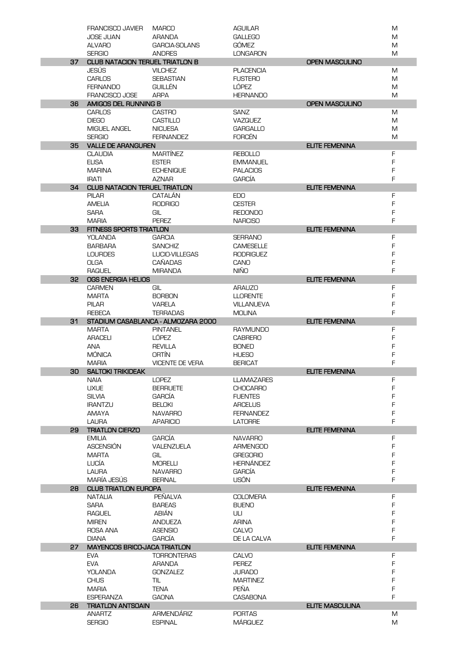|    | <b>FRANCISCO JAVIER</b>                              | <b>MARCO</b>                       | <b>AGUILAR</b>                     |                        | M      |
|----|------------------------------------------------------|------------------------------------|------------------------------------|------------------------|--------|
|    | <b>JOSE JUAN</b>                                     | <b>ARANDA</b>                      | <b>GALLEGO</b>                     |                        | M      |
|    | <b>ALVARO</b>                                        | <b>GARCIA-SOLANS</b>               | <b>GÓMEZ</b>                       |                        | M      |
|    | <b>SERGIO</b>                                        | <b>ANDRES</b>                      | <b>LONGARON</b>                    |                        | M      |
| 37 | <b>CLUB NATACION TERUEL TRIATLON B</b>               |                                    |                                    | <b>OPEN MASCULINO</b>  |        |
|    | JESÚS                                                | <b>VILCHEZ</b>                     | <b>PLACENCIA</b>                   |                        | M      |
|    | <b>CARLOS</b>                                        | <b>SEBASTIAN</b>                   | <b>FUSTERO</b>                     |                        | M      |
|    | <b>FERNANDO</b><br><b>FRANCISCO JOSE</b>             | <b>GUILLÉN</b><br><b>ARPA</b>      | LÓPEZ<br><b>HERNANDO</b>           |                        | M<br>M |
| 36 | AMIGOS DEL RUNNING B                                 |                                    |                                    | <b>OPEN MASCULINO</b>  |        |
|    | <b>CARLOS</b>                                        | <b>CASTRO</b>                      | <b>SANZ</b>                        |                        | M      |
|    | <b>DIEGO</b>                                         | <b>CASTILLO</b>                    | <b>VAZQUEZ</b>                     |                        | M      |
|    | MIGUEL ANGEL                                         | <b>NICUESA</b>                     | <b>GARGALLO</b>                    |                        | M      |
|    | <b>SERGIO</b>                                        | <b>FERNANDEZ</b>                   | <b>FORCÉN</b>                      |                        | M      |
| 35 | <b>VALLE DE ARANGUREN</b>                            |                                    |                                    | <b>ELITE FEMENINA</b>  |        |
|    | <b>CLAUDIA</b>                                       | <b>MARTINEZ</b>                    | <b>REBOLLO</b>                     |                        | F      |
|    | <b>ELISA</b>                                         | <b>ESTER</b>                       | <b>EMMANUEL</b>                    |                        | F      |
|    | <b>MARINA</b>                                        | <b>ECHENIQUE</b>                   | <b>PALACIOS</b>                    |                        | F      |
|    | <b>IRATI</b>                                         | <b>AZNAR</b>                       | <b>GARCÍA</b>                      |                        | F      |
| 34 | <b>CLUB NATACION TERUEL TRIATLON</b><br><b>PILAR</b> | <b>CATALAN</b>                     | EDO                                | <b>ELITE FEMENINA</b>  | F      |
|    | <b>AMELIA</b>                                        | <b>RODRIGO</b>                     | <b>CESTER</b>                      |                        | F      |
|    | <b>SARA</b>                                          | GIL                                | <b>REDONDO</b>                     |                        | F      |
|    | <b>MARIA</b>                                         | <b>PEREZ</b>                       | <b>NARCISO</b>                     |                        | F      |
| 33 | <b>FITNESS SPORTS TRIATLON</b>                       |                                    |                                    | <b>ELITE FEMENINA</b>  |        |
|    | <b>YOLANDA</b>                                       | <b>GARCIA</b>                      | <b>SERRANO</b>                     |                        | F      |
|    | <b>BARBARA</b>                                       | <b>SANCHIZ</b>                     | <b>CAMESELLE</b>                   |                        | F      |
|    | <b>LOURDES</b>                                       | LUCIO-VILLEGAS                     | <b>RODRIGUEZ</b>                   |                        | F      |
|    | <b>OLGA</b>                                          | <b>CANADAS</b>                     | CANO                               |                        | F      |
|    | <b>RAQUEL</b>                                        | <b>MIRANDA</b>                     | <b>NIÑO</b>                        |                        | F      |
| 32 | OGS ENERGIA HELIOS                                   |                                    |                                    | <b>ELITE FEMENINA</b>  |        |
|    | <b>CARMEN</b>                                        | GIL                                | <b>ARAUZO</b>                      |                        | F      |
|    | <b>MARTA</b><br><b>PILAR</b>                         | <b>BORBON</b>                      | <b>LLORENTE</b>                    |                        | F<br>F |
|    | <b>REBECA</b>                                        | <b>VARELA</b><br><b>TERRADAS</b>   | <b>VILLANUEVA</b><br><b>MOLINA</b> |                        | F      |
| 31 |                                                      | STADIUM CASABLANCA - ALMOZARA 2000 |                                    | <b>ELITE FEMENINA</b>  |        |
|    | <b>MARTA</b>                                         | <b>PINTANEL</b>                    | <b>RAYMUNDO</b>                    |                        | F      |
|    | <b>ARACELI</b>                                       | LÓPEZ                              | <b>CABRERO</b>                     |                        | F      |
|    | <b>ANA</b>                                           | <b>REVILLA</b>                     | <b>BONED</b>                       |                        | F      |
|    | <b>MÓNICA</b>                                        | <b>ORTIN</b>                       | <b>HUESO</b>                       |                        | F      |
|    | <b>MARIA</b>                                         | <b>VICENTE DE VERA</b>             | <b>BERICAT</b>                     |                        | F      |
| 30 | <b>SALTOKI TRIKIDEAK</b>                             |                                    |                                    | <b>ELITE FEMENINA</b>  |        |
|    | <b>NAIA</b>                                          | <b>LOPEZ</b>                       | <b>LLAMAZARES</b>                  |                        | F      |
|    | <b>UXUE</b>                                          | <b>BERRUETE</b>                    | <b>CHOCARRO</b>                    |                        | F      |
|    | <b>SILVIA</b><br><b>IRANTZU</b>                      | <b>GARCÍA</b><br><b>BELOKI</b>     | <b>FUENTES</b><br><b>ARCELUS</b>   |                        | F<br>F |
|    | <b>AMAYA</b>                                         | <b>NAVARRO</b>                     | <b>FERNANDEZ</b>                   |                        | F      |
|    | LAURA                                                | <b>APARICIO</b>                    | <b>LATORRE</b>                     |                        | F      |
| 29 | <b>TRIATLON CIERZO</b>                               |                                    |                                    | <b>ELITE FEMENINA</b>  |        |
|    | <b>EMILIA</b>                                        | <b>GARCÍA</b>                      | <b>NAVARRO</b>                     |                        | F      |
|    | ASCENSIÓN                                            | VALENZUELA                         | <b>ARMENGOD</b>                    |                        | F      |
|    | <b>MARTA</b>                                         | GIL                                | <b>GREGORIO</b>                    |                        | F      |
|    | LUCÍA                                                | <b>MORELLI</b>                     | HERNÁNDEZ                          |                        | F      |
|    | <b>LAURA</b>                                         | <b>NAVARRO</b>                     | <b>GARCÍA</b>                      |                        | F      |
|    | MARÍA JESÚS                                          | <b>BERNAL</b>                      | USÓN                               |                        | F      |
| 28 | <b>CLUB TRIATLON EUROPA</b>                          |                                    |                                    | <b>ELITE FEMENINA</b>  |        |
|    | <b>NATALIA</b><br><b>SARA</b>                        | PEÑALVA<br><b>BAREAS</b>           | <b>COLOMERA</b><br><b>BUENO</b>    |                        | F<br>F |
|    | <b>RAQUEL</b>                                        | ABIÁN                              | ULI                                |                        | F      |
|    | <b>MIREN</b>                                         | <b>ANDUEZA</b>                     | <b>ARINA</b>                       |                        | F      |
|    | ROSA ANA                                             | <b>ASENSIO</b>                     | CALVO                              |                        | F      |
|    | <b>DIANA</b>                                         | <b>GARCÍA</b>                      | DE LA CALVA                        |                        | F      |
| 27 | <b>MAYENCOS BRICO-JACA TRIATLON</b>                  |                                    |                                    | <b>ELITE FEMENINA</b>  |        |
|    | <b>EVA</b>                                           | <b>TORRONTERAS</b>                 | <b>CALVO</b>                       |                        | F.     |
|    | <b>EVA</b>                                           | ARANDA                             | <b>PEREZ</b>                       |                        | F      |
|    | YOLANDA                                              | <b>GONZALEZ</b>                    | <b>JURADO</b>                      |                        | F      |
|    | <b>CHUS</b>                                          | TIL                                | <b>MARTINEZ</b>                    |                        | F      |
|    | <b>MARIA</b>                                         | <b>TENA</b>                        | PEÑA                               |                        | F<br>F |
| 26 | <b>ESPERANZA</b><br><b>TRIATLON ANTSOAIN</b>         | <b>GAONA</b>                       | <b>CASABONA</b>                    | <b>ELITE MASCULINA</b> |        |
|    | <b>ANARTZ</b>                                        | ARMENDÁRIZ                         | <b>PORTAS</b>                      |                        | M      |
|    | <b>SERGIO</b>                                        | <b>ESPINAL</b>                     | <b>MÁRQUEZ</b>                     |                        | M      |
|    |                                                      |                                    |                                    |                        |        |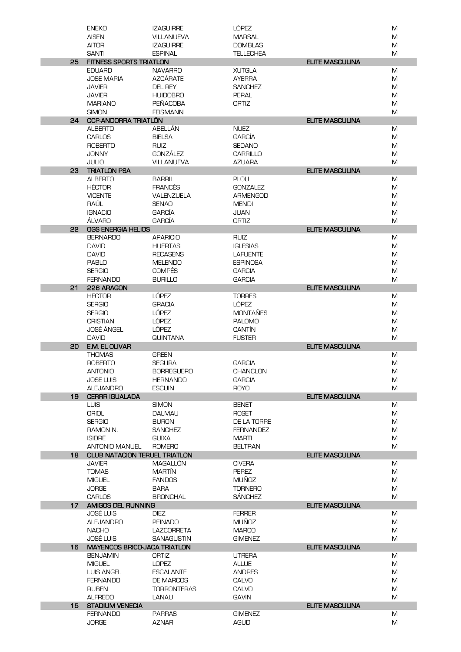|                 | <b>ENEKO</b>                         | <b>IZAGUIRRE</b>              | LÓPEZ                         |                        | M      |
|-----------------|--------------------------------------|-------------------------------|-------------------------------|------------------------|--------|
|                 | <b>AISEN</b>                         | <b>VILLANUEVA</b>             | <b>MARSAL</b>                 |                        | M      |
|                 | <b>AITOR</b>                         | <b>IZAGUIRRE</b>              | <b>DOMBLAS</b>                |                        | M      |
|                 | <b>SANTI</b>                         | <b>ESPINAL</b>                | <b>TELLECHEA</b>              |                        | M      |
| 25              | <b>FITNESS SPORTS TRIATLON</b>       |                               |                               | <b>ELITE MASCULINA</b> |        |
|                 | <b>EDUARD</b>                        | <b>NAVARRO</b>                | <b>XUTGLA</b>                 |                        | M      |
|                 | <b>JOSE MARIA</b>                    | <b>AZCÁRATE</b>               | <b>AYERRA</b>                 |                        | M      |
|                 | JAVIER                               | <b>DEL REY</b>                | <b>SANCHEZ</b>                |                        | M      |
|                 | <b>JAVIER</b>                        | <b>HUIDOBRO</b>               | <b>PERAL</b>                  |                        | M      |
|                 | <b>MARIANO</b>                       | <b>PEÑACOBA</b>               | <b>ORTIZ</b>                  |                        | M      |
|                 | <b>SIMON</b>                         | <b>FEISMANN</b>               |                               |                        | M      |
| 24              | <b>CCP-ANDORRA TRIATLÓN</b>          |                               |                               | <b>ELITE MASCULINA</b> |        |
|                 | <b>ALBERTO</b>                       | ABELLÁN                       | <b>NUEZ</b>                   |                        | M      |
|                 | <b>CARLOS</b>                        | <b>BIELSA</b>                 | <b>GARCÍA</b>                 |                        | M      |
|                 | <b>ROBERTO</b>                       | <b>RUIZ</b>                   | <b>SEDANO</b>                 |                        | M      |
|                 | <b>JONNY</b>                         | <b>GONZÁLEZ</b>               | <b>CARRILLO</b>               |                        | M      |
|                 | <b>JULIO</b>                         | <b>VILLANUEVA</b>             | <b>AZUARA</b>                 |                        | M      |
| 23              | <b>TRIATLON PSA</b>                  |                               |                               | <b>ELITE MASCULINA</b> |        |
|                 | <b>ALBERTO</b>                       | <b>BARRIL</b>                 | <b>PLOU</b>                   |                        | M      |
|                 | <b>HÉCTOR</b>                        | <b>FRANCÉS</b>                | <b>GONZALEZ</b>               |                        | M      |
|                 | <b>VICENTE</b>                       | <b>VALENZUELA</b>             | <b>ARMENGOD</b>               |                        | M      |
|                 | RAÚL                                 | <b>SENAO</b>                  | <b>MENDI</b>                  |                        | M      |
|                 | <b>IGNACIO</b>                       | <b>GARCIA</b>                 | <b>JUAN</b>                   |                        | M      |
|                 | ÁLVARO                               | <b>GARCÍA</b>                 | <b>ORTIZ</b>                  |                        | M      |
| 22              | OGS ENERGIA HELIOS                   |                               |                               | <b>ELITE MASCULINA</b> |        |
|                 | <b>BERNARDO</b>                      | <b>APARICIO</b>               | <b>RUIZ</b>                   |                        | M      |
|                 | <b>DAVID</b>                         | <b>HUERTAS</b>                | <b>IGLESIAS</b>               |                        | M      |
|                 | <b>DAVID</b>                         | <b>RECASENS</b>               | <b>LAFUENTE</b>               |                        | M      |
|                 | <b>PABLO</b>                         | <b>MELENDO</b>                | <b>ESPINOSA</b>               |                        | M      |
|                 | <b>SERGIO</b>                        | <b>COMPÉS</b>                 | <b>GARCIA</b>                 |                        | M      |
|                 | <b>FERNANDO</b>                      | <b>BURILLO</b>                | <b>GARCIA</b>                 |                        | M      |
| 21              | 226 ARAGON                           |                               |                               | <b>ELITE MASCULINA</b> |        |
|                 | <b>HECTOR</b>                        | LÓPEZ                         | <b>TORRES</b>                 |                        | M      |
|                 | <b>SERGIO</b>                        | <b>GRACIA</b>                 | LÓPEZ                         |                        | M      |
|                 | <b>SERGIO</b>                        | LÓPEZ                         | <b>MONTAÑES</b>               |                        | M      |
|                 | <b>CRISTIAN</b>                      | <b>LÓPEZ</b>                  | <b>PALOMO</b>                 |                        | M      |
|                 | JOSÉ ÁNGEL                           | <b>LÓPEZ</b>                  | <b>CANTÍN</b>                 |                        | M      |
|                 |                                      |                               |                               |                        |        |
|                 | <b>DAVID</b>                         | <b>GUINTANA</b>               | <b>FUSTER</b>                 |                        | M      |
| 20              | E.M. EL OLIVAR                       |                               |                               | <b>ELITE MASCULINA</b> |        |
|                 | <b>THOMAS</b>                        | <b>GREEN</b>                  |                               |                        | M      |
|                 | <b>ROBERTO</b>                       | <b>SEGURA</b>                 | <b>GARCIA</b>                 |                        | M      |
|                 | <b>ANTONIO</b>                       | <b>BORREGUERO</b>             | CHANCLON                      |                        | M      |
|                 | <b>JOSE LUIS</b>                     | <b>HERNANDO</b>               | <b>GARCIA</b>                 |                        | M      |
|                 | <b>ALEJANDRO</b>                     | <b>ESCUIN</b>                 | <b>ROYO</b>                   |                        | M      |
| 19              | <b>CERRR IGUALADA</b>                |                               |                               | <b>ELITE MASCULINA</b> |        |
|                 | <b>LUIS</b>                          | <b>SIMON</b>                  | <b>BENET</b>                  |                        | M      |
|                 | <b>ORIOL</b>                         | <b>DALMAU</b>                 | <b>ROSET</b>                  |                        | M      |
|                 | <b>SERGIO</b>                        | <b>BURON</b>                  | DE LA TORRE                   |                        | M      |
|                 | RAMON N.                             | <b>SANCHEZ</b>                | <b>FERNANDEZ</b>              |                        | M      |
|                 | <b>ISIDRE</b>                        | <b>GUIXA</b>                  | <b>MARTI</b>                  |                        | M      |
|                 | ANTONIO MANUEL                       | <b>ROMERO</b>                 | <b>BELTRAN</b>                |                        | M      |
| 18              | <b>CLUB NATACION TERUEL TRIATLON</b> |                               |                               | <b>ELITE MASCULINA</b> |        |
|                 | JAVIER                               | MAGALLON                      | <b>CIVERA</b>                 |                        | M      |
|                 | <b>TOMAS</b>                         | <b>MARTÍN</b>                 | <b>PEREZ</b>                  |                        | M      |
|                 | <b>MIGUEL</b>                        | <b>FANDOS</b>                 | <b>MUÑOZ</b>                  |                        | M      |
|                 | <b>JORGE</b>                         | <b>BARA</b>                   | <b>TORNERO</b>                |                        | M      |
|                 | <b>CARLOS</b>                        | <b>BRONCHAL</b>               | <b>SÁNCHEZ</b>                |                        | M      |
| 17 <sup>7</sup> | <b>AMIGOS DEL RUNNING</b>            |                               |                               | <b>ELITE MASCULINA</b> |        |
|                 | <b>JOSÉ LUIS</b>                     | DIEZ                          | <b>FERRER</b>                 |                        | M      |
|                 | <b>ALEJANDRO</b>                     | <b>PEINADO</b>                | <b>MUÑOZ</b>                  |                        | M      |
|                 | <b>NACHO</b>                         | <b>LAZCORRETA</b>             | <b>MARCO</b>                  |                        | M      |
|                 | JOSÉ LUIS                            | <b>SANAGUSTIN</b>             | <b>GIMENEZ</b>                |                        | M      |
| 16              | <b>MAYENCOS BRICO-JACA TRIATLON</b>  |                               |                               | <b>ELITE MASCULINA</b> |        |
|                 | <b>BENJAMIN</b>                      | ORTIZ                         | <b>UTRERA</b>                 |                        | M      |
|                 | <b>MIGUEL</b>                        | <b>LOPEZ</b>                  | <b>ALLUE</b>                  |                        | M      |
|                 | <b>LUIS ANGEL</b>                    | <b>ESCALANTE</b>              | <b>ANDRES</b>                 |                        | M      |
|                 | <b>FERNANDO</b>                      | DE MARCOS                     | CALVO                         |                        | M      |
|                 | <b>RUBEN</b>                         | <b>TORRONTERAS</b>            | CALVO                         |                        | M      |
|                 | <b>ALFREDO</b>                       | LANAU                         | <b>GAVIN</b>                  |                        | M      |
| 15              | <b>STADIUM VENECIA</b>               |                               |                               | <b>ELITE MASCULINA</b> |        |
|                 | <b>FERNANDO</b><br><b>JORGE</b>      | <b>PARRAS</b><br><b>AZNAR</b> | <b>GIMENEZ</b><br><b>AGUD</b> |                        | M<br>M |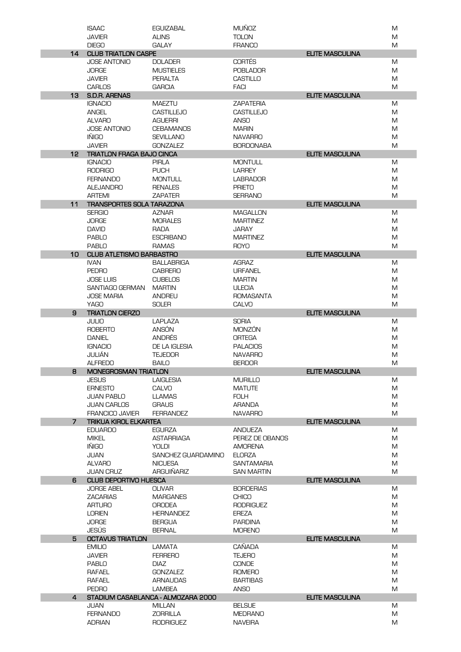|                 | <b>ISAAC</b>                     | <b>EGUIZABAL</b>                   | <b>MUÑOZ</b>      |                        | M |
|-----------------|----------------------------------|------------------------------------|-------------------|------------------------|---|
|                 | <b>JAVIER</b>                    | <b>ALINS</b>                       | <b>TOLON</b>      |                        | M |
|                 | <b>DIEGO</b>                     | <b>GALAY</b>                       | <b>FRANCO</b>     |                        | M |
| 14              | <b>CLUB TRIATLON CASPE</b>       |                                    |                   | <b>ELITE MASCULINA</b> |   |
|                 | <b>JOSE ANTONIO</b>              | <b>DOLADER</b>                     | <b>CORTÉS</b>     |                        | M |
|                 | <b>JORGE</b>                     | <b>MUSTIELES</b>                   | <b>POBLADOR</b>   |                        | M |
|                 | <b>JAVIER</b>                    | <b>PERALTA</b>                     | <b>CASTILLO</b>   |                        | M |
|                 | <b>CARLOS</b>                    | <b>GARCIA</b>                      | <b>FACI</b>       |                        | M |
| 13              | <b>S.D.R. ARENAS</b>             |                                    |                   | <b>ELITE MASCULINA</b> |   |
|                 | <b>IGNACIO</b>                   | <b>MAEZTU</b>                      | <b>ZAPATERIA</b>  |                        | M |
|                 | <b>ANGEL</b>                     | <b>CASTILLEJO</b>                  | <b>CASTILLEJO</b> |                        | M |
|                 | <b>ALVARO</b>                    | <b>AGUERRI</b>                     | <b>ANSO</b>       |                        | M |
|                 | <b>JOSE ANTONIO</b>              | <b>CEBAMANOS</b>                   | <b>MARIN</b>      |                        | M |
|                 | <b>INIGO</b>                     | <b>SEVILLANO</b>                   | <b>NAVARRO</b>    |                        | M |
|                 | <b>JAVIER</b>                    | <b>GONZALEZ</b>                    | <b>BORDONABA</b>  |                        | M |
| 12 <sup>2</sup> | <b>TRIATLON FRAGA BAJO CINCA</b> |                                    |                   | <b>ELITE MASCULINA</b> |   |
|                 | <b>IGNACIO</b>                   | <b>PIRLA</b>                       | <b>MONTULL</b>    |                        | M |
|                 | <b>RODRIGO</b>                   | <b>PUCH</b>                        | <b>LARREY</b>     |                        | M |
|                 | <b>FERNANDO</b>                  |                                    |                   |                        |   |
|                 |                                  | <b>MONTULL</b>                     | <b>LABRADOR</b>   |                        | M |
|                 | <b>ALEJANDRO</b>                 | <b>RENALES</b>                     | <b>PRIETO</b>     |                        | M |
|                 | <b>ARTEMI</b>                    | <b>ZAPATER</b>                     | <b>SERRANO</b>    |                        | M |
| 11              | <b>TRANSPORTES SOLA TARAZONA</b> |                                    |                   | <b>ELITE MASCULINA</b> |   |
|                 | <b>SERGIO</b>                    | <b>AZNAR</b>                       | <b>MAGALLON</b>   |                        | M |
|                 | <b>JORGE</b>                     | <b>MORALES</b>                     | <b>MARTINEZ</b>   |                        | M |
|                 | <b>DAVID</b>                     | RADA                               | <b>JARAY</b>      |                        | M |
|                 | <b>PABLO</b>                     | <b>ESCRIBANO</b>                   | <b>MARTINEZ</b>   |                        | M |
|                 | <b>PABLO</b>                     | <b>RAMAS</b>                       | <b>ROYO</b>       |                        | M |
| 10              | <b>CLUB ATLETISMO BARBASTRO</b>  |                                    |                   | <b>ELITE MASCULINA</b> |   |
|                 | <b>IVAN</b>                      | BALLABRIGA                         | <b>AGRAZ</b>      |                        | M |
|                 | <b>PEDRO</b>                     | <b>CABRERO</b>                     | <b>URFANEL</b>    |                        | M |
|                 | <b>JOSE LUIS</b>                 | <b>CUBELOS</b>                     | <b>MARTIN</b>     |                        | M |
|                 | <b>SANTIAGO GERMAN</b>           | <b>MARTIN</b>                      | <b>ULECIA</b>     |                        | M |
|                 | <b>JOSE MARIA</b>                | <b>ANDREU</b>                      | <b>ROMASANTA</b>  |                        | M |
|                 | <b>YAGO</b>                      | <b>SOLER</b>                       | <b>CALVO</b>      |                        | M |
| 9               | <b>TRIATLON CIERZO</b>           |                                    |                   | <b>ELITE MASCULINA</b> |   |
|                 | <b>JULIO</b>                     | <b>LAPLAZA</b>                     | <b>SORIA</b>      |                        | M |
|                 | <b>ROBERTO</b>                   | ANSÓN                              | <b>MONZÓN</b>     |                        | M |
|                 | <b>DANIEL</b>                    | <b>ANDRÉS</b>                      | <b>ORTEGA</b>     |                        | M |
|                 | <b>IGNACIO</b>                   | DE LA IGLESIA                      | <b>PALACIOS</b>   |                        | M |
|                 | JULIÁN                           | <b>TEJEDOR</b>                     | <b>NAVARRO</b>    |                        | M |
|                 | <b>ALFREDO</b>                   | <b>BAILO</b>                       | <b>BERDOR</b>     |                        | M |
| 8               | MONEGROSMAN TRIATLON             |                                    |                   | <b>ELITE MASCULINA</b> |   |
|                 | <b>JESUS</b>                     | <b>LAIGLESIA</b>                   | <b>MURILLO</b>    |                        | M |
|                 | <b>ERNESTO</b>                   | <b>CALVO</b>                       | <b>MATUTE</b>     |                        | M |
|                 | <b>JUAN PABLO</b>                | <b>LLAMAS</b>                      | <b>FOLH</b>       |                        | M |
|                 | <b>JUAN CARLOS</b>               | <b>GRAUS</b>                       | ARANDA            |                        | M |
|                 | <b>FRANCICO JAVIER</b>           | <b>FERRANDEZ</b>                   | <b>NAVARRO</b>    |                        | M |
| 7               | <b>TRIKUA KIROL ELKARTEA</b>     |                                    |                   | <b>ELITE MASCULINA</b> |   |
|                 | <b>EDUARDO</b>                   | <b>EGURZA</b>                      | <b>ANDUEZA</b>    |                        | M |
|                 | <b>MIKEL</b>                     | <b>ASTARRIAGA</b>                  | PEREZ DE OBANOS   |                        | M |
|                 | <b>IÑIGO</b>                     | <b>YOLDI</b>                       | <b>AMORENA</b>    |                        | M |
|                 | JUAN                             | SANCHEZ GUARDAMINO                 | <b>ELORZA</b>     |                        | M |
|                 | <b>ALVARO</b>                    | <b>NICUESA</b>                     | <b>SANTAMARIA</b> |                        | M |
|                 | <b>JUAN CRUZ</b>                 | <b>ARGUIÑARIZ</b>                  | <b>SAN MARTIN</b> |                        | M |
| 6               | <b>CLUB DEPORTIVO HUESCA</b>     |                                    |                   | <b>ELITE MASCULINA</b> |   |
|                 | <b>JORGE ABEL</b>                | <b>OLIVAR</b>                      | <b>BORDERIAS</b>  |                        | M |
|                 | <b>ZACARIAS</b>                  | <b>MARGANES</b>                    | <b>CHICO</b>      |                        | M |
|                 | <b>ARTURO</b>                    | <b>ORODEA</b>                      | <b>RODRIGUEZ</b>  |                        | M |
|                 | <b>LORIEN</b>                    | <b>HERNANDEZ</b>                   | <b>EREZA</b>      |                        | M |
|                 |                                  |                                    |                   |                        |   |
|                 | <b>JORGE</b>                     | <b>BERGUA</b>                      | <b>PARDINA</b>    |                        | M |
|                 | JESÚS                            | <b>BERNAL</b>                      | <b>MORENO</b>     |                        | M |
| 5               | <b>OCTAVUS TRIATLON</b>          |                                    |                   | <b>ELITE MASCULINA</b> |   |
|                 | <b>EMILIO</b>                    | LAMATA                             | <b>CAÑADA</b>     |                        | M |
|                 | <b>JAVIER</b>                    | <b>FERRERO</b>                     | <b>TEJERO</b>     |                        | M |
|                 | <b>PABLO</b>                     | <b>DIAZ</b>                        | <b>CONDE</b>      |                        | M |
|                 | <b>RAFAEL</b>                    | <b>GONZALEZ</b>                    | <b>ROMERO</b>     |                        | M |
|                 | RAFAEL                           | <b>ARNAUDAS</b>                    | <b>BARTIBAS</b>   |                        | M |
|                 | <b>PEDRO</b>                     | LAMBEA                             | <b>ANSO</b>       |                        | M |
| 4               |                                  | STADIUM CASABLANCA - ALMOZARA 2000 |                   | <b>ELITE MASCULINA</b> |   |
|                 | JUAN                             | <b>MILLAN</b>                      | <b>BELSUE</b>     |                        | M |
|                 | <b>FERNANDO</b>                  | <b>ZORRILLA</b>                    | <b>MEDRANO</b>    |                        | M |
|                 | <b>ADRIAN</b>                    | <b>RODRIGUEZ</b>                   | <b>NAVEIRA</b>    |                        | M |
|                 |                                  |                                    |                   |                        |   |